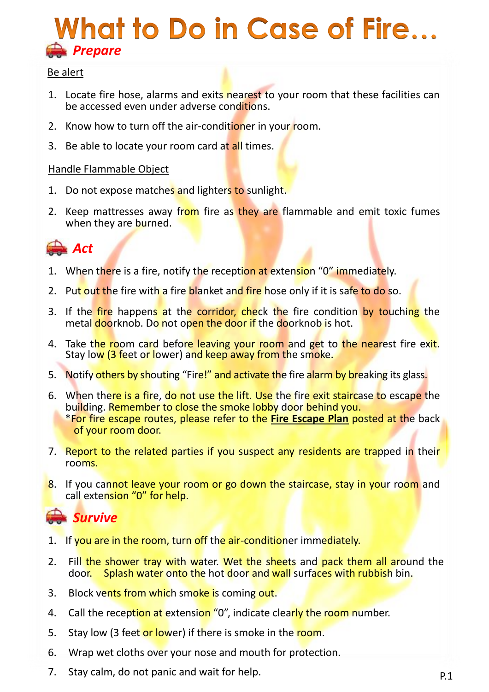# **What to Do in Case of Fire... Prepare**

### Be alert

- 1. Locate fire hose, alarms and exits nearest to your room that these facilities can be accessed even under adverse conditions.
- 2. Know how to turn off the air-conditioner in your room.
- 3. Be able to locate your room card at all times.

#### Handle Flammable Object

- 1. Do not expose matches and lighters to sunlight.
- 2. Keep mattresses away from fire as they are flammable and emit toxic fumes when they are burned.



- 1. When there is a fire, notify the reception at extension "0" immediately.
- 2. Put out the fire with a fire blanket and fire hose only if it is safe to do so.
- 3. If the fire happens at the corridor, check the fire condition by touching the metal doorknob. Do not open the door if the doorknob is hot.
- 4. Take the room card before leaving your room and get to the nearest fire exit. Stay low (3 feet or lower) and keep away from the smoke.
- 5. Notify others by shouting "Fire!" and activate the fire alarm by breaking its glass.
- 6. When there is a fire, do not use the lift. Use the fire exit staircase to escape the building. Remember to close the smoke lobby door behind you. \*For fire escape routes, please refer to the **Fire Escape Plan** posted at the back of your room door.
- 7. Report to the related parties if you suspect any residents are trapped in their rooms.
- 8. If you cannot leave your room or go down the staircase, stay in your room and call extension "0" for help.

## **Survive**

- 1. If you are in the room, turn off the air-conditioner immediately.
- 2. Fill the shower tray with water. Wet the sheets and pack them all around the door. Splash water onto the hot door and wall surfaces with rubbish bin. Splash water onto the hot door and wall surfaces with rubbish bin.
- 3. Block vents from which smoke is coming out.
- 4. Call the reception at extension "0", indicate clearly the room number.
- 5. Stay low (3 feet or lower) if there is smoke in the room.
- 6. Wrap wet cloths over your nose and mouth for protection.
- 7. Stay calm, do not panic and wait for help.  $P.1$